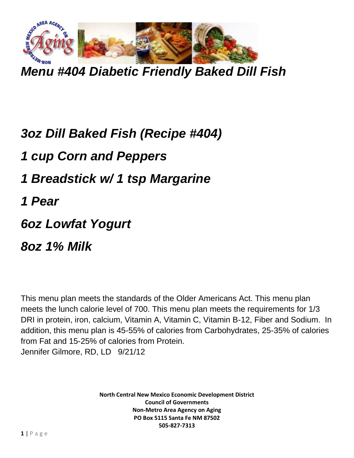

*Menu #404 Diabetic Friendly Baked Dill Fish*

## *3oz Dill Baked Fish (Recipe #404)*

*1 cup Corn and Peppers*

- *1 Breadstick w/ 1 tsp Margarine*
- *1 Pear*
- *6oz Lowfat Yogurt*

*8oz 1% Milk*

This menu plan meets the standards of the Older Americans Act. This menu plan meets the lunch calorie level of 700. This menu plan meets the requirements for 1/3 DRI in protein, iron, calcium, Vitamin A, Vitamin C, Vitamin B-12, Fiber and Sodium. In addition, this menu plan is 45-55% of calories from Carbohydrates, 25-35% of calories from Fat and 15-25% of calories from Protein. Jennifer Gilmore, RD, LD 9/21/12

> **North Central New Mexico Economic Development District Council of Governments Non-Metro Area Agency on Aging PO Box 5115 Santa Fe NM 87502 505-827-7313**